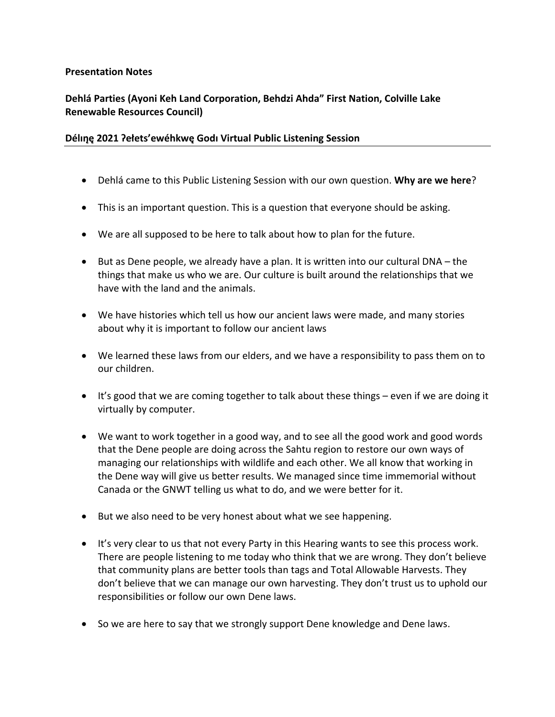## **Presentation Notes**

## **Dehlá Parties (Ayoni Keh Land Corporation, Behdzi Ahda" First Nation, Colville Lake Renewable Resources Council)**

## **Délın̨ę 2021 Ɂełets'ewéhkwę Godı Virtual Public Listening Session**

- Dehlá came to this Public Listening Session with our own question. **Why are we here**?
- This is an important question. This is a question that everyone should be asking.
- We are all supposed to be here to talk about how to plan for the future.
- But as Dene people, we already have a plan. It is written into our cultural DNA the things that make us who we are. Our culture is built around the relationships that we have with the land and the animals.
- We have histories which tell us how our ancient laws were made, and many stories about why it is important to follow our ancient laws
- We learned these laws from our elders, and we have a responsibility to pass them on to our children.
- It's good that we are coming together to talk about these things even if we are doing it virtually by computer.
- We want to work together in a good way, and to see all the good work and good words that the Dene people are doing across the Sahtu region to restore our own ways of managing our relationships with wildlife and each other. We all know that working in the Dene way will give us better results. We managed since time immemorial without Canada or the GNWT telling us what to do, and we were better for it.
- But we also need to be very honest about what we see happening.
- It's very clear to us that not every Party in this Hearing wants to see this process work. There are people listening to me today who think that we are wrong. They don't believe that community plans are better tools than tags and Total Allowable Harvests. They don't believe that we can manage our own harvesting. They don't trust us to uphold our responsibilities or follow our own Dene laws.
- So we are here to say that we strongly support Dene knowledge and Dene laws.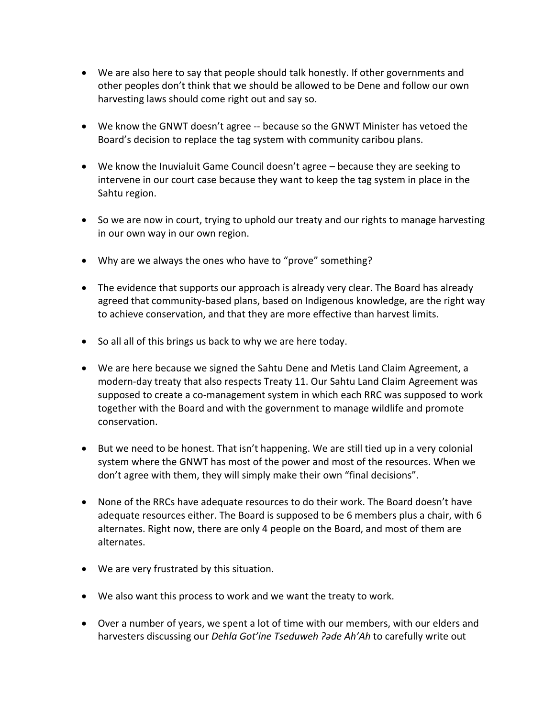- We are also here to say that people should talk honestly. If other governments and other peoples don't think that we should be allowed to be Dene and follow our own harvesting laws should come right out and say so.
- We know the GNWT doesn't agree -- because so the GNWT Minister has vetoed the Board's decision to replace the tag system with community caribou plans.
- We know the Inuvialuit Game Council doesn't agree because they are seeking to intervene in our court case because they want to keep the tag system in place in the Sahtu region.
- So we are now in court, trying to uphold our treaty and our rights to manage harvesting in our own way in our own region.
- Why are we always the ones who have to "prove" something?
- The evidence that supports our approach is already very clear. The Board has already agreed that community-based plans, based on Indigenous knowledge, are the right way to achieve conservation, and that they are more effective than harvest limits.
- So all all of this brings us back to why we are here today.
- We are here because we signed the Sahtu Dene and Metis Land Claim Agreement, a modern-day treaty that also respects Treaty 11. Our Sahtu Land Claim Agreement was supposed to create a co-management system in which each RRC was supposed to work together with the Board and with the government to manage wildlife and promote conservation.
- But we need to be honest. That isn't happening. We are still tied up in a very colonial system where the GNWT has most of the power and most of the resources. When we don't agree with them, they will simply make their own "final decisions".
- None of the RRCs have adequate resources to do their work. The Board doesn't have adequate resources either. The Board is supposed to be 6 members plus a chair, with 6 alternates. Right now, there are only 4 people on the Board, and most of them are alternates.
- We are very frustrated by this situation.
- We also want this process to work and we want the treaty to work.
- Over a number of years, we spent a lot of time with our members, with our elders and harvesters discussing our *Dehla Got'ine Tseduweh ʔəde Ah'Ah* to carefully write out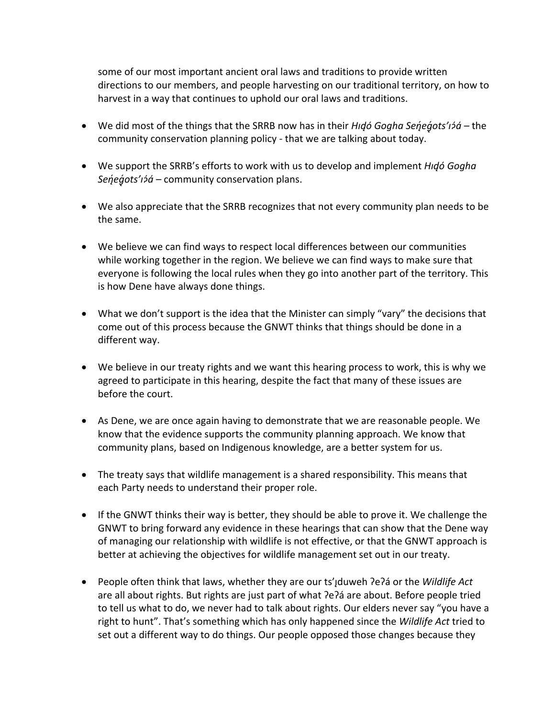some of our most important ancient oral laws and traditions to provide written directions to our members, and people harvesting on our traditional territory, on how to harvest in a way that continues to uphold our oral laws and traditions.

- We did most of the things that the SRRB now has in their *Hidó Gogha Senegots'i* a the community conservation planning policy - that we are talking about today.
- We support the SRRB's efforts to work with us to develop and implement *Hıd̨ó Gogha Senegots'i> á* – community conservation plans.
- We also appreciate that the SRRB recognizes that not every community plan needs to be the same.
- We believe we can find ways to respect local differences between our communities while working together in the region. We believe we can find ways to make sure that everyone is following the local rules when they go into another part of the territory. This is how Dene have always done things.
- What we don't support is the idea that the Minister can simply "vary" the decisions that come out of this process because the GNWT thinks that things should be done in a different way.
- We believe in our treaty rights and we want this hearing process to work, this is why we agreed to participate in this hearing, despite the fact that many of these issues are before the court.
- As Dene, we are once again having to demonstrate that we are reasonable people. We know that the evidence supports the community planning approach. We know that community plans, based on Indigenous knowledge, are a better system for us.
- The treaty says that wildlife management is a shared responsibility. This means that each Party needs to understand their proper role.
- If the GNWT thinks their way is better, they should be able to prove it. We challenge the GNWT to bring forward any evidence in these hearings that can show that the Dene way of managing our relationship with wildlife is not effective, or that the GNWT approach is better at achieving the objectives for wildlife management set out in our treaty.
- People often think that laws, whether they are our ts'<sub>j</sub>duweh ?e?á or the *Wildlife Act* are all about rights. But rights are just part of what ʔeʔá are about. Before people tried to tell us what to do, we never had to talk about rights. Our elders never say "you have a right to hunt". That's something which has only happened since the *Wildlife Act* tried to set out a different way to do things. Our people opposed those changes because they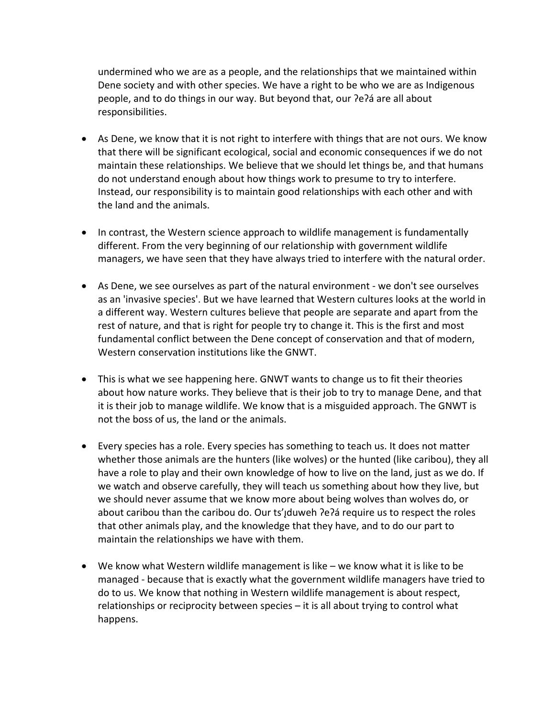undermined who we are as a people, and the relationships that we maintained within Dene society and with other species. We have a right to be who we are as Indigenous people, and to do things in our way. But beyond that, our ʔeʔá are all about responsibilities.

- As Dene, we know that it is not right to interfere with things that are not ours. We know that there will be significant ecological, social and economic consequences if we do not maintain these relationships. We believe that we should let things be, and that humans do not understand enough about how things work to presume to try to interfere. Instead, our responsibility is to maintain good relationships with each other and with the land and the animals.
- In contrast, the Western science approach to wildlife management is fundamentally different. From the very beginning of our relationship with government wildlife managers, we have seen that they have always tried to interfere with the natural order.
- As Dene, we see ourselves as part of the natural environment we don't see ourselves as an 'invasive species'. But we have learned that Western cultures looks at the world in a different way. Western cultures believe that people are separate and apart from the rest of nature, and that is right for people try to change it. This is the first and most fundamental conflict between the Dene concept of conservation and that of modern, Western conservation institutions like the GNWT.
- This is what we see happening here. GNWT wants to change us to fit their theories about how nature works. They believe that is their job to try to manage Dene, and that it is their job to manage wildlife. We know that is a misguided approach. The GNWT is not the boss of us, the land or the animals.
- Every species has a role. Every species has something to teach us. It does not matter whether those animals are the hunters (like wolves) or the hunted (like caribou), they all have a role to play and their own knowledge of how to live on the land, just as we do. If we watch and observe carefully, they will teach us something about how they live, but we should never assume that we know more about being wolves than wolves do, or about caribou than the caribou do. Our ts'Jduweh ?e?a require us to respect the roles that other animals play, and the knowledge that they have, and to do our part to maintain the relationships we have with them.
- We know what Western wildlife management is like we know what it is like to be managed - because that is exactly what the government wildlife managers have tried to do to us. We know that nothing in Western wildlife management is about respect, relationships or reciprocity between species – it is all about trying to control what happens.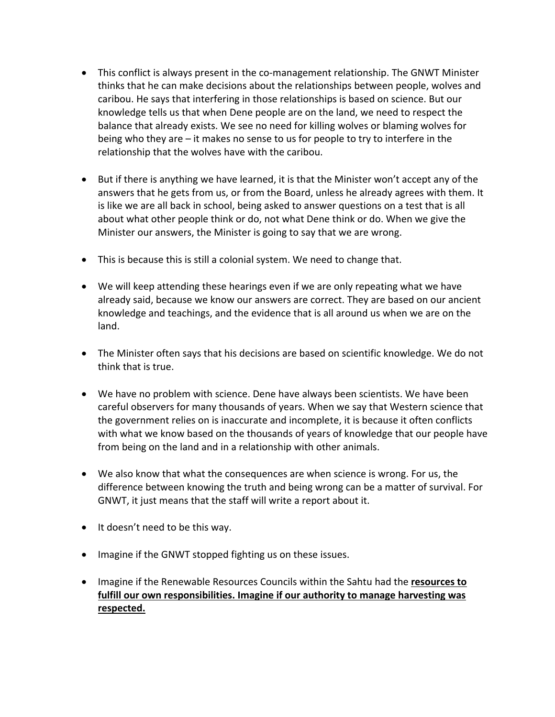- This conflict is always present in the co-management relationship. The GNWT Minister thinks that he can make decisions about the relationships between people, wolves and caribou. He says that interfering in those relationships is based on science. But our knowledge tells us that when Dene people are on the land, we need to respect the balance that already exists. We see no need for killing wolves or blaming wolves for being who they are – it makes no sense to us for people to try to interfere in the relationship that the wolves have with the caribou.
- But if there is anything we have learned, it is that the Minister won't accept any of the answers that he gets from us, or from the Board, unless he already agrees with them. It is like we are all back in school, being asked to answer questions on a test that is all about what other people think or do, not what Dene think or do. When we give the Minister our answers, the Minister is going to say that we are wrong.
- This is because this is still a colonial system. We need to change that.
- We will keep attending these hearings even if we are only repeating what we have already said, because we know our answers are correct. They are based on our ancient knowledge and teachings, and the evidence that is all around us when we are on the land.
- The Minister often says that his decisions are based on scientific knowledge. We do not think that is true.
- We have no problem with science. Dene have always been scientists. We have been careful observers for many thousands of years. When we say that Western science that the government relies on is inaccurate and incomplete, it is because it often conflicts with what we know based on the thousands of years of knowledge that our people have from being on the land and in a relationship with other animals.
- We also know that what the consequences are when science is wrong. For us, the difference between knowing the truth and being wrong can be a matter of survival. For GNWT, it just means that the staff will write a report about it.
- It doesn't need to be this way.
- Imagine if the GNWT stopped fighting us on these issues.
- Imagine if the Renewable Resources Councils within the Sahtu had the **resources to fulfill our own responsibilities. Imagine if our authority to manage harvesting was respected.**